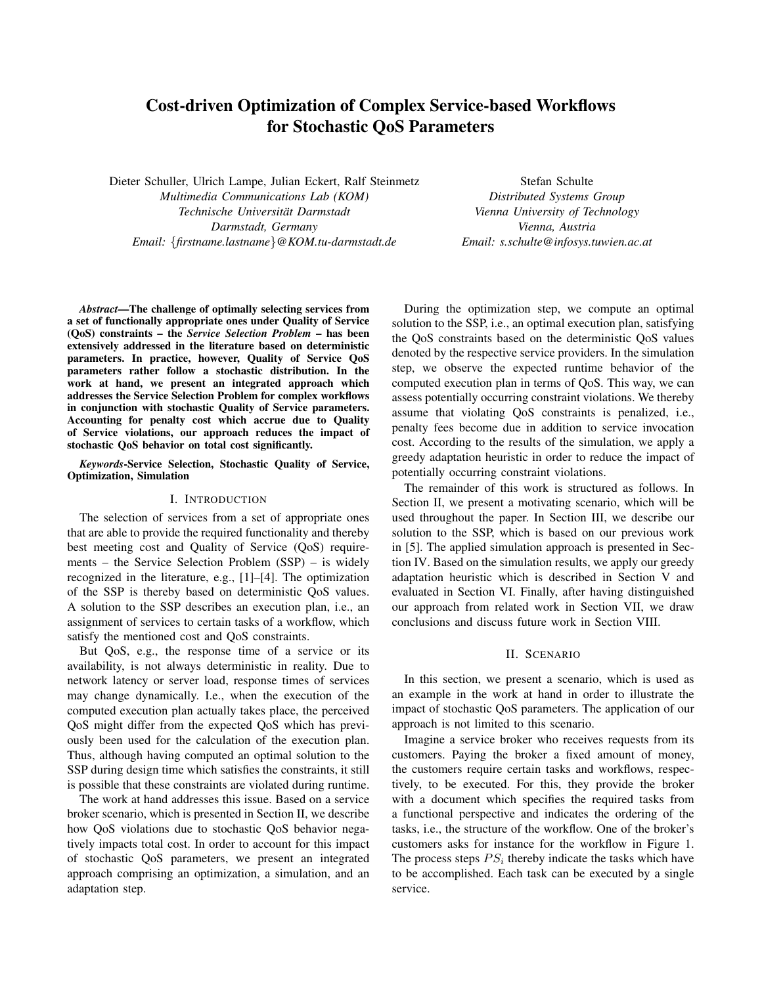# Cost-driven Optimization of Complex Service-based Workflows for Stochastic QoS Parameters

Dieter Schuller, Ulrich Lampe, Julian Eckert, Ralf Steinmetz *Multimedia Communications Lab (KOM) Technische Universitat Darmstadt ¨ Darmstadt, Germany Email:* {*firstname.lastname*}*@KOM.tu-darmstadt.de*

Stefan Schulte *Distributed Systems Group Vienna University of Technology Vienna, Austria Email: s.schulte@infosys.tuwien.ac.at*

*Abstract*—The challenge of optimally selecting services from a set of functionally appropriate ones under Quality of Service (QoS) constraints – the *Service Selection Problem* – has been extensively addressed in the literature based on deterministic parameters. In practice, however, Quality of Service QoS parameters rather follow a stochastic distribution. In the work at hand, we present an integrated approach which addresses the Service Selection Problem for complex workflows in conjunction with stochastic Quality of Service parameters. Accounting for penalty cost which accrue due to Quality of Service violations, our approach reduces the impact of stochastic QoS behavior on total cost significantly.

*Keywords*-Service Selection, Stochastic Quality of Service, Optimization, Simulation

#### I. INTRODUCTION

The selection of services from a set of appropriate ones that are able to provide the required functionality and thereby best meeting cost and Quality of Service (QoS) requirements – the Service Selection Problem (SSP) – is widely recognized in the literature, e.g., [1]–[4]. The optimization of the SSP is thereby based on deterministic QoS values. A solution to the SSP describes an execution plan, i.e., an assignment of services to certain tasks of a workflow, which satisfy the mentioned cost and QoS constraints.

But QoS, e.g., the response time of a service or its availability, is not always deterministic in reality. Due to network latency or server load, response times of services may change dynamically. I.e., when the execution of the computed execution plan actually takes place, the perceived QoS might differ from the expected QoS which has previously been used for the calculation of the execution plan. Thus, although having computed an optimal solution to the SSP during design time which satisfies the constraints, it still is possible that these constraints are violated during runtime.

The work at hand addresses this issue. Based on a service broker scenario, which is presented in Section II, we describe how QoS violations due to stochastic QoS behavior negatively impacts total cost. In order to account for this impact of stochastic QoS parameters, we present an integrated approach comprising an optimization, a simulation, and an adaptation step.

During the optimization step, we compute an optimal solution to the SSP, i.e., an optimal execution plan, satisfying the QoS constraints based on the deterministic QoS values denoted by the respective service providers. In the simulation step, we observe the expected runtime behavior of the computed execution plan in terms of QoS. This way, we can assess potentially occurring constraint violations. We thereby assume that violating QoS constraints is penalized, i.e., penalty fees become due in addition to service invocation cost. According to the results of the simulation, we apply a greedy adaptation heuristic in order to reduce the impact of potentially occurring constraint violations.

The remainder of this work is structured as follows. In Section II, we present a motivating scenario, which will be used throughout the paper. In Section III, we describe our solution to the SSP, which is based on our previous work in [5]. The applied simulation approach is presented in Section IV. Based on the simulation results, we apply our greedy adaptation heuristic which is described in Section V and evaluated in Section VI. Finally, after having distinguished our approach from related work in Section VII, we draw conclusions and discuss future work in Section VIII.

## II. SCENARIO

In this section, we present a scenario, which is used as an example in the work at hand in order to illustrate the impact of stochastic QoS parameters. The application of our approach is not limited to this scenario.

Imagine a service broker who receives requests from its customers. Paying the broker a fixed amount of money, the customers require certain tasks and workflows, respectively, to be executed. For this, they provide the broker with a document which specifies the required tasks from a functional perspective and indicates the ordering of the tasks, i.e., the structure of the workflow. One of the broker's customers asks for instance for the workflow in Figure 1. The process steps  $PS_i$  thereby indicate the tasks which have to be accomplished. Each task can be executed by a single service.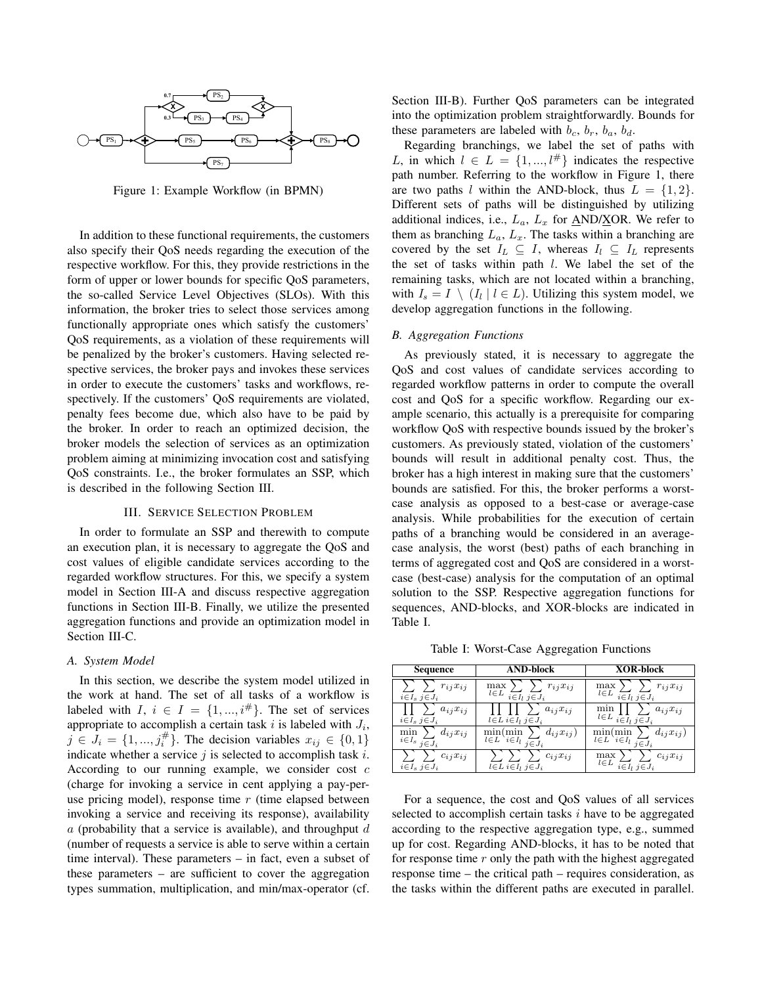

Figure 1: Example Workflow (in BPMN)

In addition to these functional requirements, the customers also specify their QoS needs regarding the execution of the respective workflow. For this, they provide restrictions in the form of upper or lower bounds for specific QoS parameters, the so-called Service Level Objectives (SLOs). With this information, the broker tries to select those services among functionally appropriate ones which satisfy the customers' QoS requirements, as a violation of these requirements will be penalized by the broker's customers. Having selected respective services, the broker pays and invokes these services in order to execute the customers' tasks and workflows, respectively. If the customers' QoS requirements are violated, penalty fees become due, which also have to be paid by the broker. In order to reach an optimized decision, the broker models the selection of services as an optimization problem aiming at minimizing invocation cost and satisfying QoS constraints. I.e., the broker formulates an SSP, which is described in the following Section III.

## III. SERVICE SELECTION PROBLEM

In order to formulate an SSP and therewith to compute an execution plan, it is necessary to aggregate the QoS and cost values of eligible candidate services according to the regarded workflow structures. For this, we specify a system model in Section III-A and discuss respective aggregation functions in Section III-B. Finally, we utilize the presented aggregation functions and provide an optimization model in Section III-C.

#### *A. System Model*

In this section, we describe the system model utilized in the work at hand. The set of all tasks of a workflow is labeled with I,  $i \in I = \{1, ..., i^{\#}\}\$ . The set of services appropriate to accomplish a certain task  $i$  is labeled with  $J_i$ ,  $j \in J_i = \{1, ..., j_i^{\#}\}\.$  The decision variables  $x_{ij} \in \{0, 1\}\$ indicate whether a service  $i$  is selected to accomplish task  $i$ . According to our running example, we consider cost c (charge for invoking a service in cent applying a pay-peruse pricing model), response time  $r$  (time elapsed between invoking a service and receiving its response), availability  $a$  (probability that a service is available), and throughput  $d$ (number of requests a service is able to serve within a certain time interval). These parameters – in fact, even a subset of these parameters – are sufficient to cover the aggregation types summation, multiplication, and min/max-operator (cf. Section III-B). Further QoS parameters can be integrated into the optimization problem straightforwardly. Bounds for these parameters are labeled with  $b_c$ ,  $b_r$ ,  $b_a$ ,  $b_d$ .

Regarding branchings, we label the set of paths with L, in which  $l \in L = \{1, ..., l^{\#}\}\$ indicates the respective path number. Referring to the workflow in Figure 1, there are two paths l within the AND-block, thus  $L = \{1, 2\}$ . Different sets of paths will be distinguished by utilizing additional indices, i.e.,  $L_a$ ,  $L_x$  for  $\triangle N\text{D/XOR}$ . We refer to them as branching  $L_a$ ,  $L_x$ . The tasks within a branching are covered by the set  $I_L \subseteq I$ , whereas  $I_l \subseteq I_L$  represents the set of tasks within path  $l$ . We label the set of the remaining tasks, which are not located within a branching, with  $I_s = I \setminus (I_l \mid l \in L)$ . Utilizing this system model, we develop aggregation functions in the following.

## *B. Aggregation Functions*

As previously stated, it is necessary to aggregate the QoS and cost values of candidate services according to regarded workflow patterns in order to compute the overall cost and QoS for a specific workflow. Regarding our example scenario, this actually is a prerequisite for comparing workflow QoS with respective bounds issued by the broker's customers. As previously stated, violation of the customers' bounds will result in additional penalty cost. Thus, the broker has a high interest in making sure that the customers' bounds are satisfied. For this, the broker performs a worstcase analysis as opposed to a best-case or average-case analysis. While probabilities for the execution of certain paths of a branching would be considered in an averagecase analysis, the worst (best) paths of each branching in terms of aggregated cost and QoS are considered in a worstcase (best-case) analysis for the computation of an optimal solution to the SSP. Respective aggregation functions for sequences, AND-blocks, and XOR-blocks are indicated in Table I.

Table I: Worst-Case Aggregation Functions

| Sequence                                                    | <b>AND-block</b>                                                                   | <b>XOR-block</b>                                                                       |
|-------------------------------------------------------------|------------------------------------------------------------------------------------|----------------------------------------------------------------------------------------|
| $r_{ij}x_{ij}$<br>$i \in I_s$ $j \in J_i$                   | max<br>$r_{ij}x_{ij}$<br>$l \in L$ $\overline{i \in I_l}$ $\overline{j \in J_i}$   | max<br>$r_{ij}x_{ij}$<br>$l \in L$ $\overline{i \in I_l}$ $\overline{j \in J_i}$       |
| $a_{ij}x_{ij}$<br>$i \in I_s$ $j \in J_i$                   | $a_{ij}x_{ij}$<br>$l \in L$ $i \in I_l$ $j \in J_i$                                | min<br>$a_{ij}x_{ij}$<br>$l\!\in\!L$ $\overline{i\!\in\!I_l}$ $\overline{j\!\in\!J_i}$ |
| min<br>$d_{ij}x_{ij}$<br>$i \in I_s$ $\overline{j \in J_i}$ | min(min)<br>$d_{ij}x_{ij}$<br>$\overline{l\in L}$ $i\in I_l$ $\overline{j\in J_i}$ | min(min)<br>$d_{ij}x_{ij}$<br>$\overline{l\in L}$ $i\in I_l$ $\overline{j\in J_i}$     |
| $c_{ij}x_{ij}$<br>$i \in I_s$ $j \in J_i$                   | $c_{ij}x_{ij}$<br>$l \in L$ $i \in I_l$ $j \in J_i$                                | max<br>$c_{ij}x_{ij}$<br>$l\!\in\!L$ $\overline{i\!\in\!I_l}$ $\overline{j\!\in\!J_i}$ |

For a sequence, the cost and QoS values of all services selected to accomplish certain tasks  $i$  have to be aggregated according to the respective aggregation type, e.g., summed up for cost. Regarding AND-blocks, it has to be noted that for response time  $r$  only the path with the highest aggregated response time – the critical path – requires consideration, as the tasks within the different paths are executed in parallel.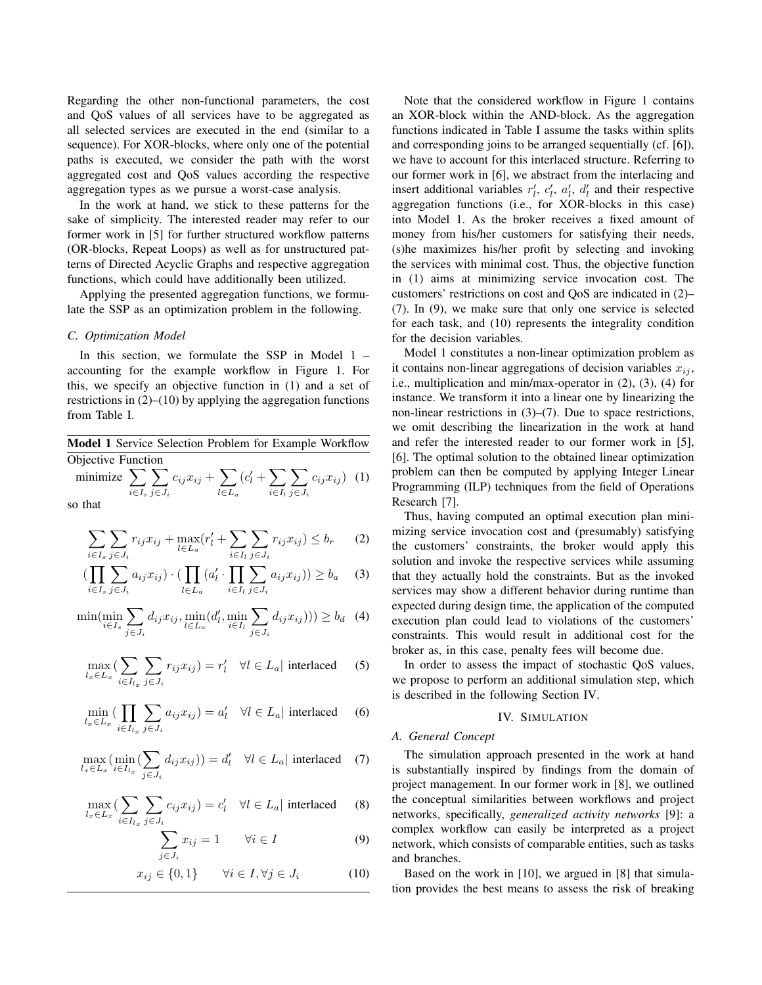Regarding the other non-functional parameters, the cost and QoS values of all services have to be aggregated as all selected services are executed in the end (similar to a sequence). For XOR-blocks, where only one of the potential paths is executed, we consider the path with the worst aggregated cost and QoS values according the respective aggregation types as we pursue a worst-case analysis.

In the work at hand, we stick to these patterns for the sake of simplicity. The interested reader may refer to our former work in [5] for further structured workflow patterns (OR-blocks, Repeat Loops) as well as for unstructured patterns of Directed Acyclic Graphs and respective aggregation functions, which could have additionally been utilized.

Applying the presented aggregation functions, we formulate the SSP as an optimization problem in the following.

### *C. Optimization Model*

In this section, we formulate the SSP in Model 1 – accounting for the example workflow in Figure 1. For this, we specify an objective function in (1) and a set of restrictions in  $(2)$ – $(10)$  by applying the aggregation functions from Table I.

| Model 1 Service Selection Problem for Example Workflow |  |  |
|--------------------------------------------------------|--|--|
| Objective Function                                     |  |  |

minimize 
$$
\sum_{i \in I_s} \sum_{j \in J_i} c_{ij} x_{ij} + \sum_{l \in L_a} (c'_l + \sum_{i \in I_l} \sum_{j \in J_i} c_{ij} x_{ij})
$$
 (1)

so that

$$
\sum_{i \in I_s} \sum_{j \in J_i} r_{ij} x_{ij} + \max_{l \in L_a} (r'_l + \sum_{i \in I_l} \sum_{j \in J_i} r_{ij} x_{ij}) \le b_r \tag{2}
$$

$$
\left(\prod_{i\in I_s}\sum_{j\in J_i}a_{ij}x_{ij}\right)\cdot\left(\prod_{l\in L_a}\left(a_l'\cdot\prod_{i\in I_l}\sum_{j\in J_i}a_{ij}x_{ij}\right)\right)\geq b_a\tag{3}
$$

$$
\min(\min_{i \in I_s} \sum_{j \in J_i} d_{ij} x_{ij}, \min_{l \in L_a} (d'_l, \min_{i \in I_l} \sum_{j \in J_i} d_{ij} x_{ij}))) \ge b_d \quad (4)
$$

$$
\max_{l_x \in L_x} \left( \sum_{i \in I_{l_x}} \sum_{j \in J_i} r_{ij} x_{ij} \right) = r'_l \quad \forall l \in L_a \mid \text{interlaced} \tag{5}
$$

$$
\min_{l_x \in L_x} \left( \prod_{i \in I_{l_x}} \sum_{j \in J_i} a_{ij} x_{ij} \right) = a'_l \quad \forall l \in L_a \mid \text{interlaced} \tag{6}
$$

 $\max_{l_x \in L_x} (\min_{i \in I_{l_x}} (\sum_{i \in I_{l_x}}$  $j \in J_i$  $d_{ij}x_{ij})$  =  $d'_{l}$   $\forall l \in L_a$  interlaced (7)

$$
\max_{l_x \in L_x} \left( \sum_{i \in I_{l_x}} \sum_{j \in J_i} c_{ij} x_{ij} \right) = c'_l \quad \forall l \in L_a \mid \text{interlaced} \tag{8}
$$

$$
\sum_{j \in J_i} x_{ij} = 1 \qquad \forall i \in I \tag{9}
$$

$$
x_{ij} \in \{0, 1\} \qquad \forall i \in I, \forall j \in J_i \tag{10}
$$

Note that the considered workflow in Figure 1 contains an XOR-block within the AND-block. As the aggregation functions indicated in Table I assume the tasks within splits and corresponding joins to be arranged sequentially (cf. [6]), we have to account for this interlaced structure. Referring to our former work in [6], we abstract from the interlacing and insert additional variables  $r'_{l}$ ,  $c'_{l}$ ,  $a'_{l}$ ,  $d'_{l}$  and their respective aggregation functions (i.e., for XOR-blocks in this case) into Model 1. As the broker receives a fixed amount of money from his/her customers for satisfying their needs, (s)he maximizes his/her profit by selecting and invoking the services with minimal cost. Thus, the objective function in (1) aims at minimizing service invocation cost. The customers' restrictions on cost and QoS are indicated in (2)– (7). In (9), we make sure that only one service is selected for each task, and (10) represents the integrality condition for the decision variables.

Model 1 constitutes a non-linear optimization problem as it contains non-linear aggregations of decision variables  $x_{ij}$ , i.e., multiplication and min/max-operator in (2), (3), (4) for instance. We transform it into a linear one by linearizing the non-linear restrictions in  $(3)$ – $(7)$ . Due to space restrictions, we omit describing the linearization in the work at hand and refer the interested reader to our former work in [5], [6]. The optimal solution to the obtained linear optimization problem can then be computed by applying Integer Linear Programming (ILP) techniques from the field of Operations Research [7].

Thus, having computed an optimal execution plan minimizing service invocation cost and (presumably) satisfying the customers' constraints, the broker would apply this solution and invoke the respective services while assuming that they actually hold the constraints. But as the invoked services may show a different behavior during runtime than expected during design time, the application of the computed execution plan could lead to violations of the customers' constraints. This would result in additional cost for the broker as, in this case, penalty fees will become due.

In order to assess the impact of stochastic QoS values, we propose to perform an additional simulation step, which is described in the following Section IV.

# IV. SIMULATION

#### *A. General Concept*

The simulation approach presented in the work at hand is substantially inspired by findings from the domain of project management. In our former work in [8], we outlined the conceptual similarities between workflows and project networks, specifically, *generalized activity networks* [9]: a complex workflow can easily be interpreted as a project network, which consists of comparable entities, such as tasks and branches.

Based on the work in [10], we argued in [8] that simulation provides the best means to assess the risk of breaking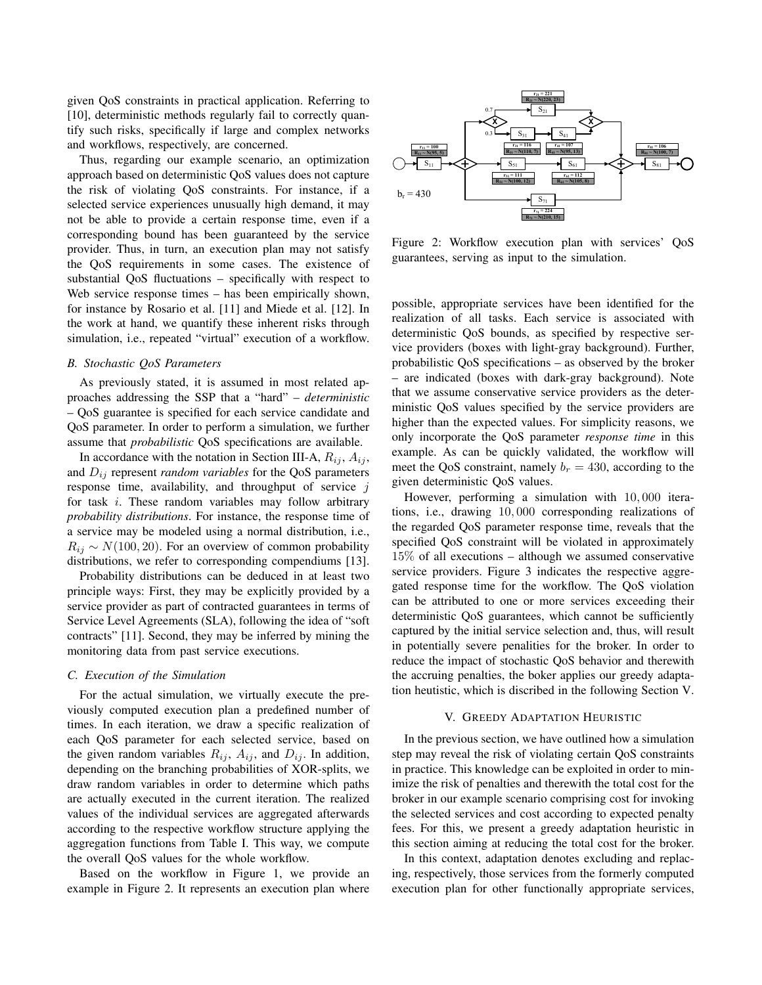given QoS constraints in practical application. Referring to [10], deterministic methods regularly fail to correctly quantify such risks, specifically if large and complex networks and workflows, respectively, are concerned.

Thus, regarding our example scenario, an optimization approach based on deterministic QoS values does not capture the risk of violating QoS constraints. For instance, if a selected service experiences unusually high demand, it may not be able to provide a certain response time, even if a corresponding bound has been guaranteed by the service provider. Thus, in turn, an execution plan may not satisfy the QoS requirements in some cases. The existence of substantial QoS fluctuations – specifically with respect to Web service response times – has been empirically shown, for instance by Rosario et al. [11] and Miede et al. [12]. In the work at hand, we quantify these inherent risks through simulation, i.e., repeated "virtual" execution of a workflow.

## *B. Stochastic QoS Parameters*

As previously stated, it is assumed in most related approaches addressing the SSP that a "hard" – *deterministic* – QoS guarantee is specified for each service candidate and QoS parameter. In order to perform a simulation, we further assume that *probabilistic* QoS specifications are available.

In accordance with the notation in Section III-A,  $R_{ij}$ ,  $A_{ij}$ , and  $D_{ij}$  represent *random variables* for the QoS parameters response time, availability, and throughput of service  $j$ for task i. These random variables may follow arbitrary *probability distributions*. For instance, the response time of a service may be modeled using a normal distribution, i.e.,  $R_{ij} \sim N(100, 20)$ . For an overview of common probability distributions, we refer to corresponding compendiums [13].

Probability distributions can be deduced in at least two principle ways: First, they may be explicitly provided by a service provider as part of contracted guarantees in terms of Service Level Agreements (SLA), following the idea of "soft contracts" [11]. Second, they may be inferred by mining the monitoring data from past service executions.

## *C. Execution of the Simulation*

For the actual simulation, we virtually execute the previously computed execution plan a predefined number of times. In each iteration, we draw a specific realization of each QoS parameter for each selected service, based on the given random variables  $R_{ij}$ ,  $A_{ij}$ , and  $D_{ij}$ . In addition, depending on the branching probabilities of XOR-splits, we draw random variables in order to determine which paths are actually executed in the current iteration. The realized values of the individual services are aggregated afterwards according to the respective workflow structure applying the aggregation functions from Table I. This way, we compute the overall QoS values for the whole workflow.

Based on the workflow in Figure 1, we provide an example in Figure 2. It represents an execution plan where



Figure 2: Workflow execution plan with services' QoS guarantees, serving as input to the simulation.

possible, appropriate services have been identified for the realization of all tasks. Each service is associated with deterministic QoS bounds, as specified by respective service providers (boxes with light-gray background). Further, probabilistic QoS specifications – as observed by the broker – are indicated (boxes with dark-gray background). Note that we assume conservative service providers as the deterministic QoS values specified by the service providers are higher than the expected values. For simplicity reasons, we only incorporate the QoS parameter *response time* in this example. As can be quickly validated, the workflow will meet the QoS constraint, namely  $b_r = 430$ , according to the given deterministic QoS values.

However, performing a simulation with 10, 000 iterations, i.e., drawing 10, 000 corresponding realizations of the regarded QoS parameter response time, reveals that the specified QoS constraint will be violated in approximately 15% of all executions – although we assumed conservative service providers. Figure 3 indicates the respective aggregated response time for the workflow. The QoS violation can be attributed to one or more services exceeding their deterministic QoS guarantees, which cannot be sufficiently captured by the initial service selection and, thus, will result in potentially severe penalities for the broker. In order to reduce the impact of stochastic QoS behavior and therewith the accruing penalties, the boker applies our greedy adaptation heutistic, which is discribed in the following Section V.

#### V. GREEDY ADAPTATION HEURISTIC

In the previous section, we have outlined how a simulation step may reveal the risk of violating certain QoS constraints in practice. This knowledge can be exploited in order to minimize the risk of penalties and therewith the total cost for the broker in our example scenario comprising cost for invoking the selected services and cost according to expected penalty fees. For this, we present a greedy adaptation heuristic in this section aiming at reducing the total cost for the broker.

In this context, adaptation denotes excluding and replacing, respectively, those services from the formerly computed execution plan for other functionally appropriate services,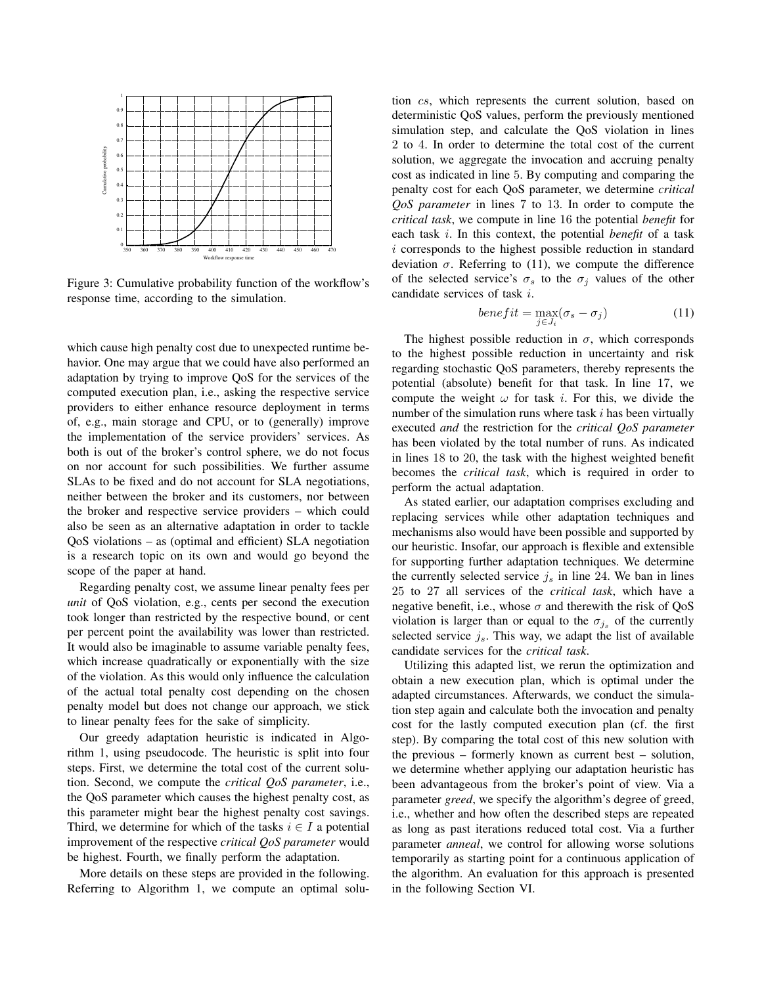

Figure 3: Cumulative probability function of the workflow's response time, according to the simulation.

which cause high penalty cost due to unexpected runtime behavior. One may argue that we could have also performed an adaptation by trying to improve QoS for the services of the computed execution plan, i.e., asking the respective service providers to either enhance resource deployment in terms of, e.g., main storage and CPU, or to (generally) improve the implementation of the service providers' services. As both is out of the broker's control sphere, we do not focus on nor account for such possibilities. We further assume SLAs to be fixed and do not account for SLA negotiations, neither between the broker and its customers, nor between the broker and respective service providers – which could also be seen as an alternative adaptation in order to tackle QoS violations – as (optimal and efficient) SLA negotiation is a research topic on its own and would go beyond the scope of the paper at hand.

Regarding penalty cost, we assume linear penalty fees per *unit* of QoS violation, e.g., cents per second the execution took longer than restricted by the respective bound, or cent per percent point the availability was lower than restricted. It would also be imaginable to assume variable penalty fees, which increase quadratically or exponentially with the size of the violation. As this would only influence the calculation of the actual total penalty cost depending on the chosen penalty model but does not change our approach, we stick to linear penalty fees for the sake of simplicity.

Our greedy adaptation heuristic is indicated in Algorithm 1, using pseudocode. The heuristic is split into four steps. First, we determine the total cost of the current solution. Second, we compute the *critical QoS parameter*, i.e., the QoS parameter which causes the highest penalty cost, as this parameter might bear the highest penalty cost savings. Third, we determine for which of the tasks  $i \in I$  a potential improvement of the respective *critical QoS parameter* would be highest. Fourth, we finally perform the adaptation.

More details on these steps are provided in the following. Referring to Algorithm 1, we compute an optimal solution cs, which represents the current solution, based on deterministic QoS values, perform the previously mentioned simulation step, and calculate the QoS violation in lines 2 to 4. In order to determine the total cost of the current solution, we aggregate the invocation and accruing penalty cost as indicated in line 5. By computing and comparing the penalty cost for each QoS parameter, we determine *critical QoS parameter* in lines 7 to 13. In order to compute the *critical task*, we compute in line 16 the potential *benefit* for each task i. In this context, the potential *benefit* of a task i corresponds to the highest possible reduction in standard deviation  $\sigma$ . Referring to (11), we compute the difference of the selected service's  $\sigma_s$  to the  $\sigma_i$  values of the other candidate services of task i.

$$
benefit = \max_{j \in J_i} (\sigma_s - \sigma_j)
$$
 (11)

The highest possible reduction in  $\sigma$ , which corresponds to the highest possible reduction in uncertainty and risk regarding stochastic QoS parameters, thereby represents the potential (absolute) benefit for that task. In line 17, we compute the weight  $\omega$  for task *i*. For this, we divide the number of the simulation runs where task  $i$  has been virtually executed *and* the restriction for the *critical QoS parameter* has been violated by the total number of runs. As indicated in lines 18 to 20, the task with the highest weighted benefit becomes the *critical task*, which is required in order to perform the actual adaptation.

As stated earlier, our adaptation comprises excluding and replacing services while other adaptation techniques and mechanisms also would have been possible and supported by our heuristic. Insofar, our approach is flexible and extensible for supporting further adaptation techniques. We determine the currently selected service  $j<sub>s</sub>$  in line 24. We ban in lines 25 to 27 all services of the *critical task*, which have a negative benefit, i.e., whose  $\sigma$  and therewith the risk of QoS violation is larger than or equal to the  $\sigma_{j_s}$  of the currently selected service  $j_s$ . This way, we adapt the list of available candidate services for the *critical task*.

Utilizing this adapted list, we rerun the optimization and obtain a new execution plan, which is optimal under the adapted circumstances. Afterwards, we conduct the simulation step again and calculate both the invocation and penalty cost for the lastly computed execution plan (cf. the first step). By comparing the total cost of this new solution with the previous – formerly known as current best – solution, we determine whether applying our adaptation heuristic has been advantageous from the broker's point of view. Via a parameter *greed*, we specify the algorithm's degree of greed, i.e., whether and how often the described steps are repeated as long as past iterations reduced total cost. Via a further parameter *anneal*, we control for allowing worse solutions temporarily as starting point for a continuous application of the algorithm. An evaluation for this approach is presented in the following Section VI.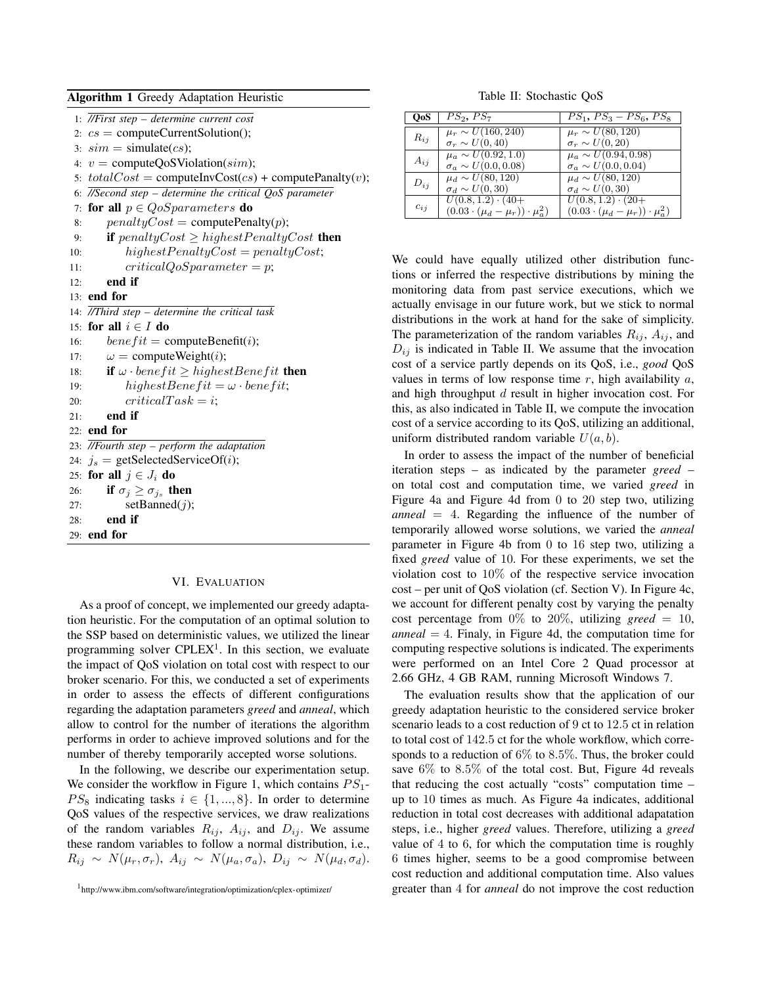|  |  |  | Algorithm 1 Greedy Adaptation Heuristic |  |
|--|--|--|-----------------------------------------|--|
|--|--|--|-----------------------------------------|--|

|     | 1: //First step - determine current cost                               |
|-----|------------------------------------------------------------------------|
|     | 2: $cs =$ computeCurrentSolution();                                    |
|     | 3: $sim =$ simulate(cs);                                               |
|     | 4: $v =$ computeQoSViolation( $sim$ );                                 |
|     | 5: $totalCost = computeInvCost(cs) + computePanalty(v);$               |
|     | 6: $\sqrt{1/2}$ //Second step – determine the critical QoS parameter   |
| 7:  | for all $p \in QoS$ parameters do                                      |
| 8:  | $penaltyCost = computePenalty(p);$                                     |
| 9:  | if $penaltyCost \geq highestPenaltyCost$ then                          |
| 10: | $highestPenaltyCost = penaltyCost;$                                    |
| 11: | $criticalQoS parameter = p;$                                           |
| 12: | end if                                                                 |
|     | $13:$ end for                                                          |
|     | 14: //Third step $-$ determine the critical task                       |
|     | 15: for all $i \in I$ do                                               |
| 16: | $benefit =$ computeBenefit( <i>i</i> );                                |
| 17: | $\omega =$ compute Weight( <i>i</i> );                                 |
|     | <b>if</b> $\omega$ · benefit $\geq$ highest Benefit <b>then</b><br>18: |
| 19: | highestBenefit = $\omega \cdot \text{benefit}$ ;                       |
| 20: | $criticalTask = i;$                                                    |
| 21: | end if                                                                 |
|     | $22:$ end for                                                          |
|     | 23: //Fourth step – perform the adaptation                             |
|     | 24: $j_s$ = getSelectedServiceOf(i);                                   |
|     | 25: for all $j \in J_i$ do                                             |
| 26: | if $\sigma_i \geq \sigma_{i_s}$ then                                   |
| 27: | setBanned(j);                                                          |
| 28: | end if                                                                 |
|     | $29:$ end for                                                          |
|     |                                                                        |

#### VI. EVALUATION

As a proof of concept, we implemented our greedy adaptation heuristic. For the computation of an optimal solution to the SSP based on deterministic values, we utilized the linear programming solver  $\text{CPLEX}^1$ . In this section, we evaluate the impact of QoS violation on total cost with respect to our broker scenario. For this, we conducted a set of experiments in order to assess the effects of different configurations regarding the adaptation parameters *greed* and *anneal*, which allow to control for the number of iterations the algorithm performs in order to achieve improved solutions and for the number of thereby temporarily accepted worse solutions.

In the following, we describe our experimentation setup. We consider the workflow in Figure 1, which contains  $PS_1$ - $PS_8$  indicating tasks  $i \in \{1, ..., 8\}$ . In order to determine QoS values of the respective services, we draw realizations of the random variables  $R_{ij}$ ,  $A_{ij}$ , and  $D_{ij}$ . We assume these random variables to follow a normal distribution, i.e.,  $R_{ij} \sim N(\mu_r, \sigma_r)$ ,  $A_{ij} \sim N(\mu_a, \sigma_a)$ ,  $D_{ij} \sim N(\mu_d, \sigma_d)$ .

Table II: Stochastic QoS

| OoS -     | $PS_2$ , $PS_7$                              | $PS_1$ , $PS_3 - PS_6$ , $PS_8$              |
|-----------|----------------------------------------------|----------------------------------------------|
|           |                                              |                                              |
| $R_{ij}$  | $\mu_r \sim U(160, 240)$                     | $\mu_r \sim U(80, 120)$                      |
|           | $\sigma_r \sim U(0, 40)$                     | $\sigma_r \sim U(0, 20)$                     |
| $A_{i,i}$ | $\mu_a \sim U(0.92, 1.0)$                    | $\mu_a \sim U(0.94, 0.98)$                   |
|           | $\sigma_a \sim U(0.0, 0.08)$                 | $\sigma_a \sim U(0.0, 0.04)$                 |
| $D_{ij}$  | $\mu_d \sim U(80, 120)$                      | $\mu_d \sim U(80, 120)$                      |
|           | $\sigma_d \sim U(0, 30)$                     | $\sigma_d \sim U(0, 30)$                     |
| $c_{ij}$  | $U(0.8, 1.2) \cdot (40+)$                    | $U(0.8, 1.2) \cdot (20+)$                    |
|           | $(0.03 \cdot (\mu_d - \mu_r)) \cdot \mu_a^2$ | $(0.03 \cdot (\mu_d - \mu_r)) \cdot \mu_a^2$ |

We could have equally utilized other distribution functions or inferred the respective distributions by mining the monitoring data from past service executions, which we actually envisage in our future work, but we stick to normal distributions in the work at hand for the sake of simplicity. The parameterization of the random variables  $R_{ij}$ ,  $A_{ij}$ , and  $D_{ij}$  is indicated in Table II. We assume that the invocation cost of a service partly depends on its QoS, i.e., *good* QoS values in terms of low response time  $r$ , high availability  $a$ , and high throughput d result in higher invocation cost. For this, as also indicated in Table II, we compute the invocation cost of a service according to its QoS, utilizing an additional, uniform distributed random variable  $U(a, b)$ .

In order to assess the impact of the number of beneficial iteration steps – as indicated by the parameter *greed* – on total cost and computation time, we varied *greed* in Figure 4a and Figure 4d from 0 to 20 step two, utilizing *anneal* = 4. Regarding the influence of the number of temporarily allowed worse solutions, we varied the *anneal* parameter in Figure 4b from 0 to 16 step two, utilizing a fixed *greed* value of 10. For these experiments, we set the violation cost to 10% of the respective service invocation cost – per unit of QoS violation (cf. Section V). In Figure 4c, we account for different penalty cost by varying the penalty cost percentage from  $0\%$  to  $20\%$ , utilizing *greed* = 10,  $anneal = 4$ . Finaly, in Figure 4d, the computation time for computing respective solutions is indicated. The experiments were performed on an Intel Core 2 Quad processor at 2.66 GHz, 4 GB RAM, running Microsoft Windows 7.

The evaluation results show that the application of our greedy adaptation heuristic to the considered service broker scenario leads to a cost reduction of 9 ct to 12.5 ct in relation to total cost of 142.5 ct for the whole workflow, which corresponds to a reduction of 6% to 8.5%. Thus, the broker could save 6% to 8.5% of the total cost. But, Figure 4d reveals that reducing the cost actually "costs" computation time – up to 10 times as much. As Figure 4a indicates, additional reduction in total cost decreases with additional adapatation steps, i.e., higher *greed* values. Therefore, utilizing a *greed* value of 4 to 6, for which the computation time is roughly 6 times higher, seems to be a good compromise between cost reduction and additional computation time. Also values greater than 4 for *anneal* do not improve the cost reduction

<sup>1</sup> http://www.ibm.com/software/integration/optimization/cplex-optimizer/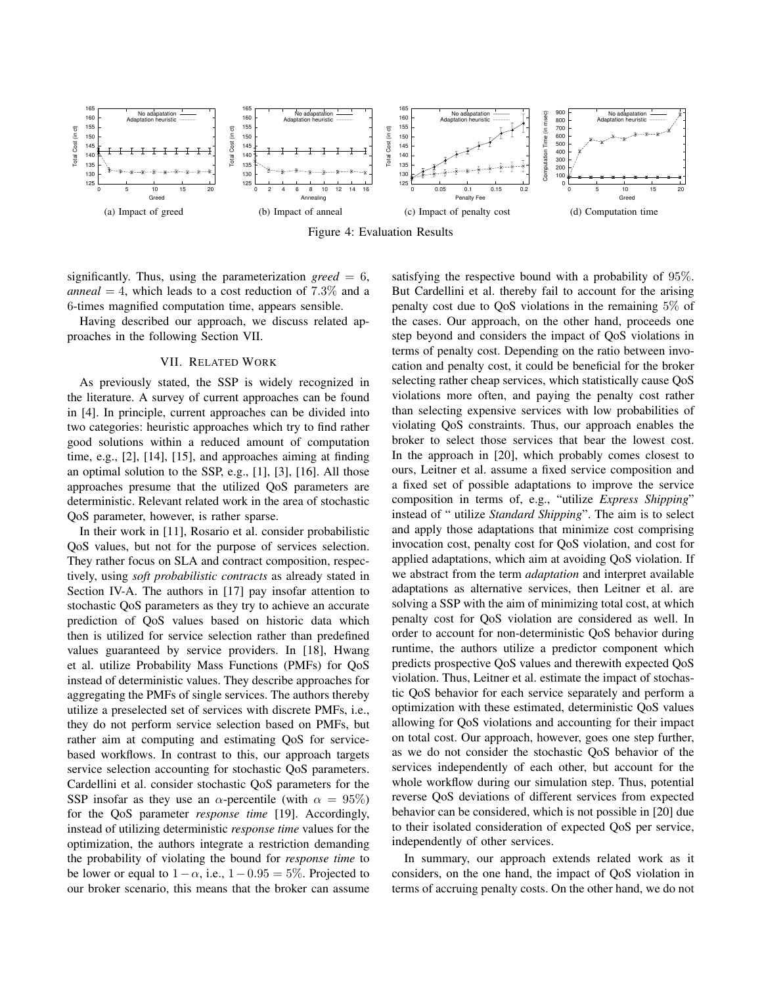

Figure 4: Evaluation Results

significantly. Thus, using the parameterization  $\text{greed} = 6$ , *anneal*  $= 4$ , which leads to a cost reduction of 7.3% and a 6-times magnified computation time, appears sensible.

Having described our approach, we discuss related approaches in the following Section VII.

# VII. RELATED WORK

As previously stated, the SSP is widely recognized in the literature. A survey of current approaches can be found in [4]. In principle, current approaches can be divided into two categories: heuristic approaches which try to find rather good solutions within a reduced amount of computation time, e.g., [2], [14], [15], and approaches aiming at finding an optimal solution to the SSP, e.g., [1], [3], [16]. All those approaches presume that the utilized QoS parameters are deterministic. Relevant related work in the area of stochastic QoS parameter, however, is rather sparse.

In their work in [11], Rosario et al. consider probabilistic QoS values, but not for the purpose of services selection. They rather focus on SLA and contract composition, respectively, using *soft probabilistic contracts* as already stated in Section IV-A. The authors in [17] pay insofar attention to stochastic QoS parameters as they try to achieve an accurate prediction of QoS values based on historic data which then is utilized for service selection rather than predefined values guaranteed by service providers. In [18], Hwang et al. utilize Probability Mass Functions (PMFs) for QoS instead of deterministic values. They describe approaches for aggregating the PMFs of single services. The authors thereby utilize a preselected set of services with discrete PMFs, i.e., they do not perform service selection based on PMFs, but rather aim at computing and estimating QoS for servicebased workflows. In contrast to this, our approach targets service selection accounting for stochastic QoS parameters. Cardellini et al. consider stochastic QoS parameters for the SSP insofar as they use an  $\alpha$ -percentile (with  $\alpha = 95\%$ ) for the QoS parameter *response time* [19]. Accordingly, instead of utilizing deterministic *response time* values for the optimization, the authors integrate a restriction demanding the probability of violating the bound for *response time* to be lower or equal to  $1-\alpha$ , i.e.,  $1-0.95 = 5\%$ . Projected to our broker scenario, this means that the broker can assume satisfying the respective bound with a probability of 95%. But Cardellini et al. thereby fail to account for the arising penalty cost due to QoS violations in the remaining 5% of the cases. Our approach, on the other hand, proceeds one step beyond and considers the impact of QoS violations in terms of penalty cost. Depending on the ratio between invocation and penalty cost, it could be beneficial for the broker selecting rather cheap services, which statistically cause QoS violations more often, and paying the penalty cost rather than selecting expensive services with low probabilities of violating QoS constraints. Thus, our approach enables the broker to select those services that bear the lowest cost. In the approach in [20], which probably comes closest to ours, Leitner et al. assume a fixed service composition and a fixed set of possible adaptations to improve the service composition in terms of, e.g., "utilize *Express Shipping*" instead of " utilize *Standard Shipping*". The aim is to select and apply those adaptations that minimize cost comprising invocation cost, penalty cost for QoS violation, and cost for applied adaptations, which aim at avoiding QoS violation. If we abstract from the term *adaptation* and interpret available adaptations as alternative services, then Leitner et al. are solving a SSP with the aim of minimizing total cost, at which penalty cost for QoS violation are considered as well. In order to account for non-deterministic QoS behavior during runtime, the authors utilize a predictor component which predicts prospective QoS values and therewith expected QoS violation. Thus, Leitner et al. estimate the impact of stochastic QoS behavior for each service separately and perform a optimization with these estimated, deterministic QoS values allowing for QoS violations and accounting for their impact on total cost. Our approach, however, goes one step further, as we do not consider the stochastic QoS behavior of the services independently of each other, but account for the whole workflow during our simulation step. Thus, potential reverse QoS deviations of different services from expected behavior can be considered, which is not possible in [20] due to their isolated consideration of expected QoS per service, independently of other services.

In summary, our approach extends related work as it considers, on the one hand, the impact of QoS violation in terms of accruing penalty costs. On the other hand, we do not